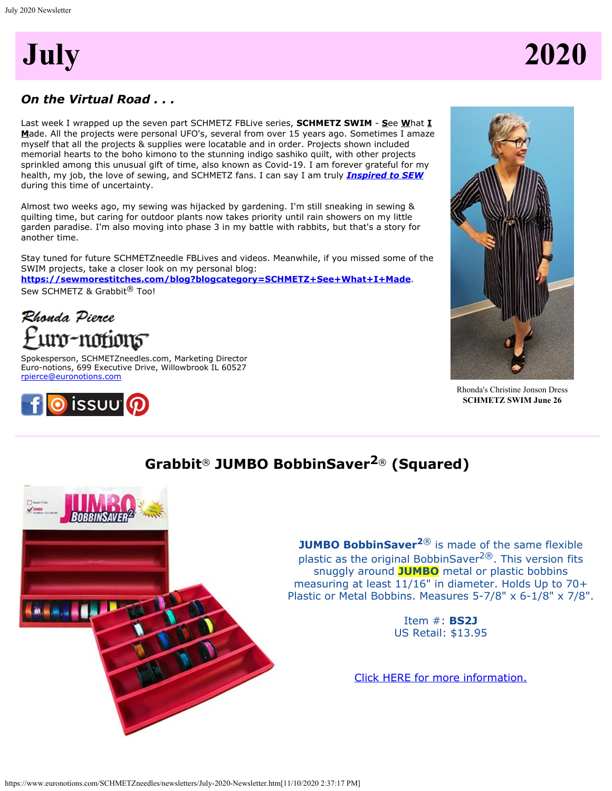

## *On the Virtual Road . . .*

Last week I wrapped up the seven part SCHMETZ FBLive series, **SCHMETZ SWIM** - **S**ee **W**hat **I M**ade. All the projects were personal UFO's, several from over 15 years ago. Sometimes I amaze myself that all the projects & supplies were locatable and in order. Projects shown included memorial hearts to the boho kimono to the stunning indigo sashiko quilt, with other projects sprinkled among this unusual gift of time, also known as Covid-19. I am forever grateful for my health, my job, the love of sewing, and SCHMETZ fans. I can say I am truly *[Inspired to SEW](https://www.schmetzneedles.com/archived-digital-magazines/)* during this time of uncertainty.

Almost two weeks ago, my sewing was hijacked by gardening. I'm still sneaking in sewing & quilting time, but caring for outdoor plants now takes priority until rain showers on my little garden paradise. I'm also moving into phase 3 in my battle with rabbits, but that's a story for another time.

Stay tuned for future SCHMETZneedle FBLives and videos. Meanwhile, if you missed some of the SWIM projects, take a closer look on my personal blog:

**<https://sewmorestitches.com/blog?blogcategory=SCHMETZ+See+What+I+Made>**. Sew SCHMETZ & Grabbit<sup>®</sup> Too!

Rhonda Pierce uv-notions<sup>-</sup>

Spokesperson, SCHMETZneedles.com, Marketing Director Euro-notions, 699 Executive Drive, Willowbrook IL 60527 [rpierce@euronotions.com](mailto:rpierce@euronotions.com)





Rhonda's Christine Jonson Dress **SCHMETZ SWIM June 26**

## **Grabbit**® **JUMBO BobbinSaver2**® **(Squared)**



**JUMBO BobbinSaver<sup>2®</sup>** is made of the same flexible plastic as the original BobbinSaver<sup>2®</sup>. This version fits snuggly around **JUMBO** metal or plastic bobbins measuring at least 11/16" in diameter. Holds Up to 70+ Plastic or Metal Bobbins. Measures 5-7/8" x 6-1/8" x 7/8".

> Item #: **BS2J** US Retail: \$13.95

[Click HERE for more information.](https://www.schmetzneedles.com/item/JUMBO-Bobbinsaver2reg-100277)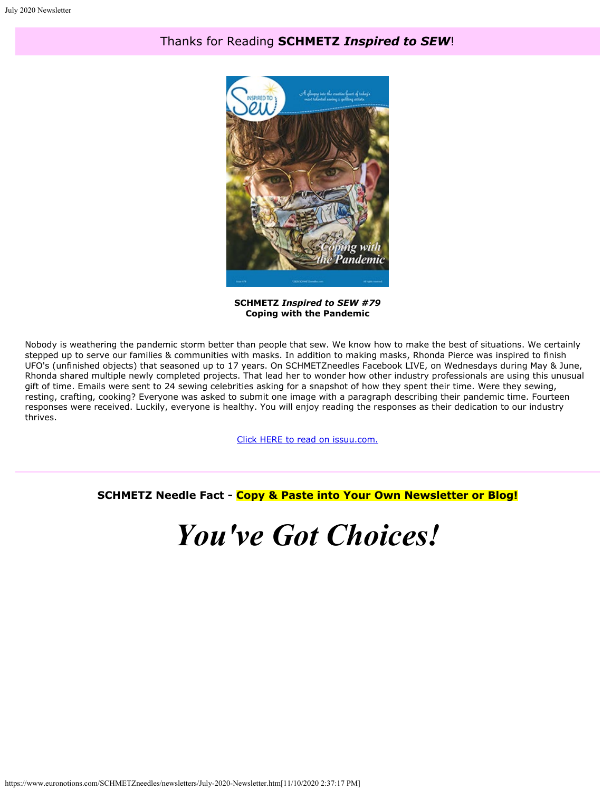### Thanks for Reading **SCHMETZ** *Inspired to SEW*!



**SCHMETZ** *Inspired to SEW #79* **Coping with the Pandemic**

Nobody is weathering the pandemic storm better than people that sew. We know how to make the best of situations. We certainly stepped up to serve our families & communities with masks. In addition to making masks, Rhonda Pierce was inspired to finish UFO's (unfinished objects) that seasoned up to 17 years. On SCHMETZneedles Facebook LIVE, on Wednesdays during May & June, Rhonda shared multiple newly completed projects. That lead her to wonder how other industry professionals are using this unusual gift of time. Emails were sent to 24 sewing celebrities asking for a snapshot of how they spent their time. Were they sewing, resting, crafting, cooking? Everyone was asked to submit one image with a paragraph describing their pandemic time. Fourteen responses were received. Luckily, everyone is healthy. You will enjoy reading the responses as their dedication to our industry thrives.

[Click HERE to read on issuu.com.](https://issuu.com/schmetzneedles/docs/its79-jul20?fr=sNGZlYzE3NTM3)

**SCHMETZ Needle Fact - Copy & Paste into Your Own Newsletter or Blog!**

# *You've Got Choices!*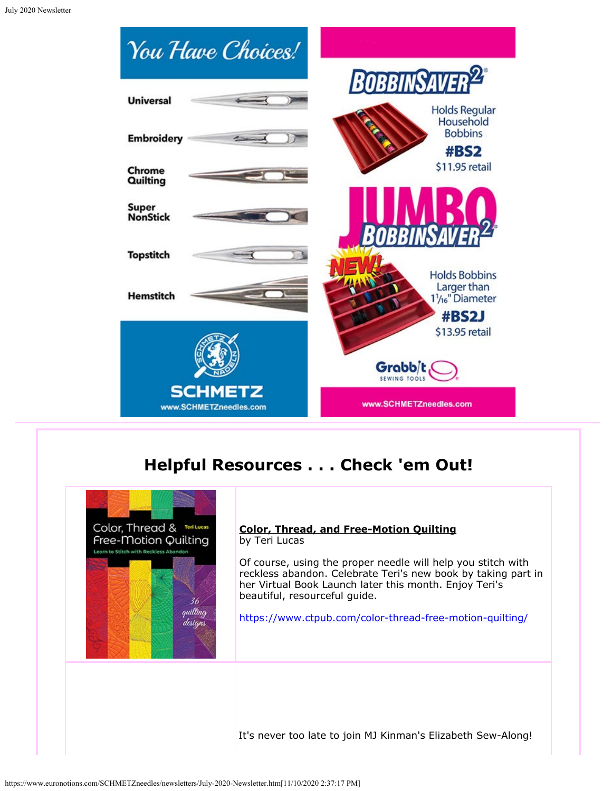

## **Helpful Resources . . . Check 'em Out!**



#### **Color, Thread, and Free-Motion Quilting** by Teri Lucas

Of course, using the proper needle will help you stitch with reckless abandon. Celebrate Teri's new book by taking part in her Virtual Book Launch later this month. Enjoy Teri's beautiful, resourceful guide.

<https://www.ctpub.com/color-thread-free-motion-quilting/>

It's never too late to join MJ Kinman's Elizabeth Sew-Along!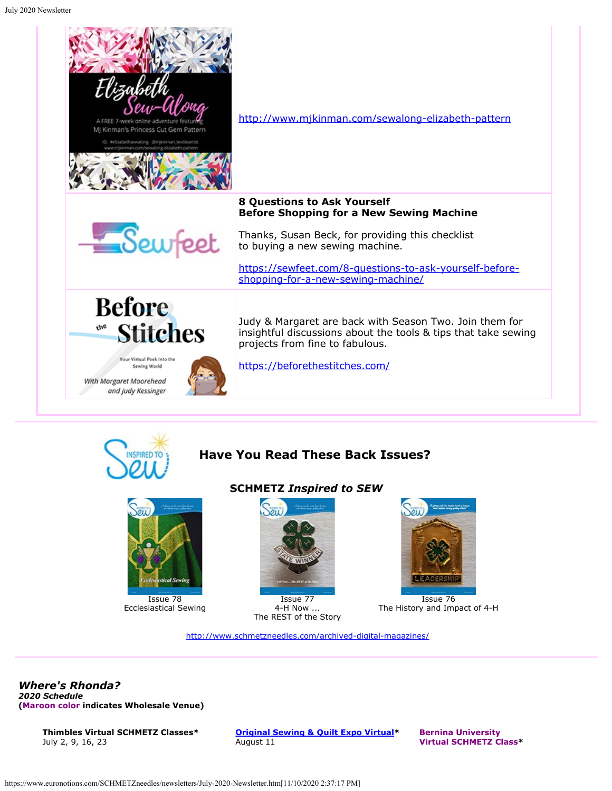

## **Have You Read These Back Issues?**



Ecclesiastical Sewing

## **SCHMETZ** *Inspired to SEW*



4-H Now ... The REST of the Story



Issue 76 The History and Impact of 4-H

<http://www.schmetzneedles.com/archived-digital-magazines/>

*Where's Rhonda? 2020 Schedule* **(Maroon color indicates Wholesale Venue)**

> **Thimbles Virtual SCHMETZ Classes\*** July 2, 9, 16, 23

**[Original Sewing & Quilt Expo Virtual](https://sewingexpo.com/)\*** August 11

**Bernina University Virtual SCHMETZ Class\***